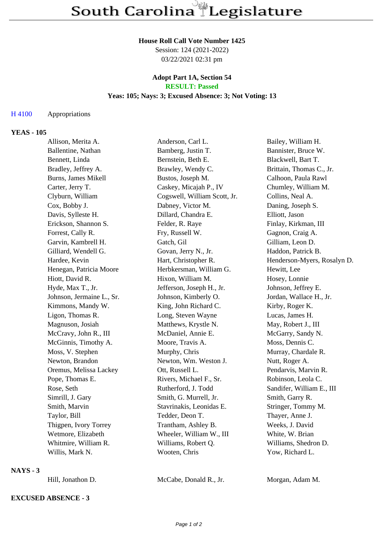#### **House Roll Call Vote Number 1425**

Session: 124 (2021-2022) 03/22/2021 02:31 pm

#### **Adopt Part 1A, Section 54 RESULT: Passed**

# **Yeas: 105; Nays: 3; Excused Absence: 3; Not Voting: 13**

## H 4100 Appropriations

## **YEAS - 105**

| Allison, Merita A.         | Anderson, Carl L.            | Bailey, William H.          |
|----------------------------|------------------------------|-----------------------------|
| Ballentine, Nathan         | Bamberg, Justin T.           | Bannister, Bruce W.         |
| Bennett, Linda             | Bernstein, Beth E.           | Blackwell, Bart T.          |
| Bradley, Jeffrey A.        | Brawley, Wendy C.            | Brittain, Thomas C., Jr.    |
| <b>Burns, James Mikell</b> | Bustos, Joseph M.            | Calhoon, Paula Rawl         |
| Carter, Jerry T.           | Caskey, Micajah P., IV       | Chumley, William M.         |
| Clyburn, William           | Cogswell, William Scott, Jr. | Collins, Neal A.            |
| Cox, Bobby J.              | Dabney, Victor M.            | Daning, Joseph S.           |
| Davis, Sylleste H.         | Dillard, Chandra E.          | Elliott, Jason              |
| Erickson, Shannon S.       | Felder, R. Raye              | Finlay, Kirkman, III        |
| Forrest, Cally R.          | Fry, Russell W.              | Gagnon, Craig A.            |
| Garvin, Kambrell H.        | Gatch, Gil                   | Gilliam, Leon D.            |
| Gilliard, Wendell G.       | Govan, Jerry N., Jr.         | Haddon, Patrick B.          |
| Hardee, Kevin              | Hart, Christopher R.         | Henderson-Myers, Rosalyn D. |
| Henegan, Patricia Moore    | Herbkersman, William G.      | Hewitt, Lee                 |
| Hiott, David R.            | Hixon, William M.            | Hosey, Lonnie               |
| Hyde, Max T., Jr.          | Jefferson, Joseph H., Jr.    | Johnson, Jeffrey E.         |
| Johnson, Jermaine L., Sr.  | Johnson, Kimberly O.         | Jordan, Wallace H., Jr.     |
| Kimmons, Mandy W.          | King, John Richard C.        | Kirby, Roger K.             |
| Ligon, Thomas R.           | Long, Steven Wayne           | Lucas, James H.             |
| Magnuson, Josiah           | Matthews, Krystle N.         | May, Robert J., III         |
| McCravy, John R., III      | McDaniel, Annie E.           | McGarry, Sandy N.           |
| McGinnis, Timothy A.       | Moore, Travis A.             | Moss, Dennis C.             |
| Moss, V. Stephen           | Murphy, Chris                | Murray, Chardale R.         |
| Newton, Brandon            | Newton, Wm. Weston J.        | Nutt, Roger A.              |
| Oremus, Melissa Lackey     | Ott, Russell L.              | Pendarvis, Marvin R.        |
| Pope, Thomas E.            | Rivers, Michael F., Sr.      | Robinson, Leola C.          |
| Rose, Seth                 | Rutherford, J. Todd          | Sandifer, William E., III   |
| Simrill, J. Gary           | Smith, G. Murrell, Jr.       | Smith, Garry R.             |
| Smith, Marvin              | Stavrinakis, Leonidas E.     | Stringer, Tommy M.          |
| Taylor, Bill               | Tedder, Deon T.              | Thayer, Anne J.             |
| Thigpen, Ivory Torrey      | Trantham, Ashley B.          | Weeks, J. David             |
| Wetmore, Elizabeth         | Wheeler, William W., III     | White, W. Brian             |
| Whitmire, William R.       | Williams, Robert Q.          | Williams, Shedron D.        |
| Willis, Mark N.            | Wooten, Chris                | Yow, Richard L.             |

#### **NAYS - 3**

# **EXCUSED ABSENCE - 3**

Hill, Jonathon D. McCabe, Donald R., Jr. Morgan, Adam M.